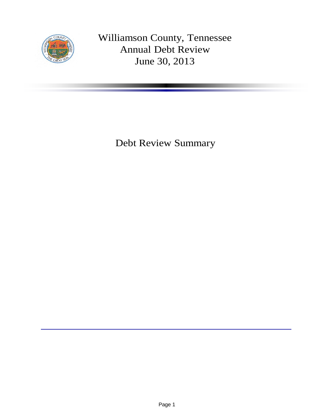

Williamson County, Tennessee Annual Debt Review June 30, 2013

Debt Review Summary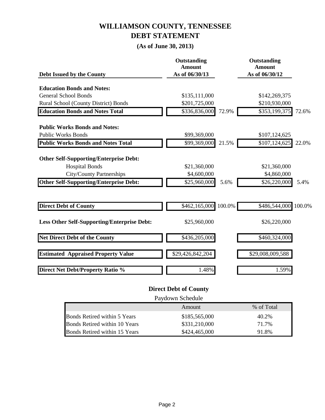## **WILLIAMSON COUNTY, TENNESSEE DEBT STATEMENT**

#### **(As of June 30, 2013)**

| Debt Issued by the County                          | Outstanding<br><b>Amount</b><br>As of 06/30/13 |       | Outstanding<br><b>Amount</b><br>As of 06/30/12 |        |
|----------------------------------------------------|------------------------------------------------|-------|------------------------------------------------|--------|
|                                                    |                                                |       |                                                |        |
| <b>Education Bonds and Notes:</b>                  |                                                |       |                                                |        |
| <b>General School Bonds</b>                        | \$135,111,000                                  |       | \$142,269,375                                  |        |
| Rural School (County District) Bonds               | \$201,725,000                                  |       | \$210,930,000                                  |        |
| <b>Education Bonds and Notes Total</b>             | \$336,836,000                                  | 72.9% | \$353,199,375                                  | 72.6%  |
| <b>Public Works Bonds and Notes:</b>               |                                                |       |                                                |        |
| <b>Public Works Bonds</b>                          | \$99,369,000                                   |       | \$107,124,625                                  |        |
| <b>Public Works Bonds and Notes Total</b>          | \$99,369,000                                   | 21.5% | \$107,124,625                                  | 22.0%  |
| <b>Other Self-Supporting/Enterprise Debt:</b>      |                                                |       |                                                |        |
| <b>Hospital Bonds</b>                              | \$21,360,000                                   |       | \$21,360,000                                   |        |
| <b>City/County Partnerships</b>                    | \$4,600,000                                    |       | \$4,860,000                                    |        |
| <b>Other Self-Supporting/Enterprise Debt:</b>      | \$25,960,000                                   | 5.6%  | \$26,220,000                                   | 5.4%   |
|                                                    |                                                |       |                                                |        |
| <b>Direct Debt of County</b>                       | \$462,165,000 100.0%                           |       | \$486,544,000                                  | 100.0% |
| <b>Less Other Self-Supporting/Enterprise Debt:</b> | \$25,960,000                                   |       | \$26,220,000                                   |        |
| <b>Net Direct Debt of the County</b>               | \$436,205,000                                  |       | \$460,324,000                                  |        |
| <b>Estimated Appraised Property Value</b>          | \$29,426,842,204                               |       | \$29,008,009,588                               |        |
| <b>Direct Net Debt/Property Ratio %</b>            | 1.48%                                          |       | 1.59%                                          |        |

#### **Direct Debt of County**

Paydown Schedule

|                               | Amount        | % of Total |
|-------------------------------|---------------|------------|
| Bonds Retired within 5 Years  | \$185,565,000 | 40.2%      |
| Bonds Retired within 10 Years | \$331,210,000 | 71 7%      |
| Bonds Retired within 15 Years | \$424,465,000 | 1.8%       |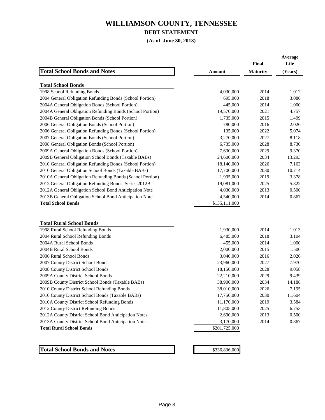**DEBT STATEMENT**

**(As of June 30, 2013)**

|                                                                                                  |                          | Final           | Average<br>Life |
|--------------------------------------------------------------------------------------------------|--------------------------|-----------------|-----------------|
| <b>Total School Bonds and Notes</b>                                                              | Amount                   | <b>Maturity</b> | (Years)         |
| <b>Total School Bonds</b>                                                                        |                          |                 |                 |
| 1998 School Refunding Bonds                                                                      | 4,030,000                | 2014            | 1.012           |
| 2004 General Obligation Refunding Bonds (School Portion)                                         | 695,000                  | 2018            | 3.086           |
| 2004A General Obligation Bonds (School Portion)                                                  | 445,000                  | 2014            | 1.000           |
| 2004A General Obligation Refunding Bonds (School Portion)                                        | 19,570,000               | 2021            | 4.757           |
| 2004B General Obligation Bonds (School Portion)                                                  | 1,735,000                | 2015            | 1.499           |
| 2006 General Obligation Bonds (School Portion)                                                   | 780,000                  | 2016            | 2.026           |
| 2006 General Obligation Refunding Bonds (School Portion)                                         | 135,000                  | 2022            | 5.074           |
| 2007 General Obligation Bonds (School Portion)                                                   | 3,270,000                | 2027            | 8.118           |
| 2008 General Obligation Bonds (School Portion)                                                   | 6,735,000                | 2028            | 8.730           |
| 2009A General Obligation Bonds (School Portion)                                                  | 7,630,000                | 2029            | 9.370           |
| 2009B General Obligation School Bonds (Taxable BABs)                                             | 24,600,000               | 2034            | 13.293          |
| 2010 General Obligation Refunding Bonds (School Portion)                                         | 18,140,000               | 2026            | 7.163           |
| 2010 General Obligation School Bonds (Taxable BABs)                                              | 17,700,000               | 2030            | 10.714          |
| 2010A General Obligation Refunding Bonds (School Portion)                                        | 1,995,000                | 2019            | 3.378           |
| 2012 General Obligation Refunding Bonds, Series 2012B                                            | 19,081,000               | 2025            | 5.822           |
| 2012A General Obligation School Bond Anticipation Note                                           | 4,030,000                | 2013            | 0.500           |
| 2013B General Obligation School Bond Anticipation Note                                           | 4,540,000                | 2014            | 0.867           |
| <b>Total School Bonds</b>                                                                        | \$135,111,000            |                 |                 |
|                                                                                                  |                          |                 |                 |
|                                                                                                  |                          |                 |                 |
| <b>Total Rural School Bonds</b>                                                                  |                          | 2014            | 1.013           |
| 1998 Rural School Refunding Bonds                                                                | 1,930,000                |                 |                 |
| 2004 Rural School Refunding Bonds                                                                | 6,485,000                | 2018            | 3.104           |
| 2004A Rural School Bonds                                                                         | 455,000                  | 2014            | 1.000           |
| 2004B Rural School Bonds                                                                         | 2,000,000                | 2015            | 1.500           |
| 2006 Rural School Bonds                                                                          | 3,040,000                | 2016            | 2.026           |
| 2007 County District School Bonds                                                                | 23,960,000               | 2027            | 7.970           |
| 2008 County District School Bonds                                                                | 18,150,000               | 2028            | 9.058<br>9.439  |
| 2009A County District School Bonds                                                               | 22,210,000               | 2029<br>2034    | 14.188          |
| 2009B County District School Bonds (Taxable BABs)<br>2010 County District School Refunding Bonds | 38,900,000               | 2026            | 7.195           |
| 2010 County District School Bonds (Taxable BABs)                                                 | 38,010,000<br>17,750,000 | 2030            | 11.604          |
| 2010A County District School Refunding Bonds                                                     | 11,170,000               | 2019            | 3.584           |
| 2012 County District Refunding Bonds                                                             | 11,805,000               | 2025            | 6.753           |
| 2012A County District School Bond Anticipation Notes                                             | 2,690,000                | 2013            | 0.500           |
| 2013A County District School Bond Anticipation Notes                                             | 3,170,000                | 2014            | 0.867           |
| <b>Total Rural School Bonds</b>                                                                  | \$201,725,000            |                 |                 |
|                                                                                                  |                          |                 |                 |
|                                                                                                  |                          |                 |                 |
|                                                                                                  |                          |                 |                 |
| <b>Total School Bonds and Notes</b>                                                              | \$336,836,000            |                 |                 |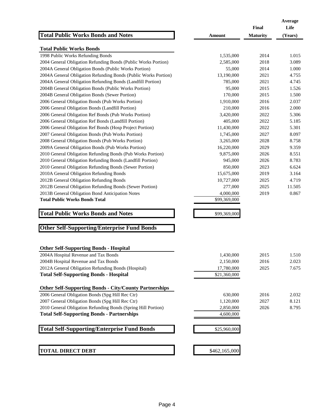| <b>Total Public Works Bonds and Notes</b>                       | <b>Amount</b> | Final<br><b>Maturity</b> | Average<br>Life<br>(Years) |
|-----------------------------------------------------------------|---------------|--------------------------|----------------------------|
| <b>Total Public Works Bonds</b>                                 |               |                          |                            |
| 1998 Public Works Refunding Bonds                               | 1,535,000     | 2014                     | 1.015                      |
| 2004 General Obligation Refunding Bonds (Public Works Portion)  | 2,585,000     | 2018                     | 3.089                      |
| 2004A General Obligation Bonds (Public Works Portion)           | 55,000        | 2014                     | 1.000                      |
| 2004A General Obligation Refunding Bonds (Public Works Portion) | 13,190,000    | 2021                     | 4.755                      |
| 2004A General Obligation Refunding Bonds (Landfill Portion)     | 785,000       | 2021                     | 4.745                      |
| 2004B General Obligation Bonds (Public Works Portion)           | 95,000        | 2015                     | 1.526                      |
| 2004B General Obligation Bonds (Sewer Portion)                  | 170,000       | 2015                     | 1.500                      |
| 2006 General Obligation Bonds (Pub Works Portion)               | 1,910,000     | 2016                     | 2.037                      |
| 2006 General Obligation Bonds (Landfill Portion)                | 210,000       | 2016                     | 2.000                      |
| 2006 General Obligation Ref Bonds (Pub Works Portion)           | 3,420,000     | 2022                     | 5.306                      |
| 2006 General Obligation Ref Bonds (Landfill Portion)            | 405,000       | 2022                     | 5.185                      |
| 2006 General Obligation Ref Bonds (Hosp Project Portion)        | 11,430,000    | 2022                     | 5.301                      |
| 2007 General Obligation Bonds (Pub Works Portion)               | 1,745,000     | 2027                     | 8.097                      |
| 2008 General Obligation Bonds (Pub Works Portion)               | 3,265,000     | 2028                     | 8.758                      |
| 2009A General Obligation Bonds (Pub Works Portion)              | 16,220,000    | 2029                     | 9.359                      |
| 2010 General Obligation Refunding Bonds (Pub Works Portion)     | 9,875,000     | 2026                     | 8.551                      |
| 2010 General Obligation Refunding Bonds (Landfill Portion)      | 945,000       | 2026                     | 8.783                      |
| 2010 General Obligation Refunding Bonds (Sewer Portion)         | 850,000       | 2023                     | 6.624                      |
| 2010A General Obligation Refunding Bonds                        | 15,675,000    | 2019                     | 3.164                      |
| 2012B General Obligation Refunding Bonds                        | 10,727,000    | 2025                     | 4.719                      |
| 2012B General Obligation Refunding Bonds (Sewer Portion)        | 277,000       | 2025                     | 11.505                     |
| 2013B General Obligation Bond Anticipation Notes                | 4,000,000     | 2019                     | 0.867                      |
| <b>Total Public Works Bonds Total</b>                           | \$99,369,000  |                          |                            |
| <b>Total Public Works Bonds and Notes</b>                       | \$99,369,000  |                          |                            |
| <b>Other Self-Supporting/Enterprise Fund Bonds</b>              |               |                          |                            |
| <b>Other Self-Supporting Bonds - Hospital</b>                   |               |                          |                            |
| 2004A Hospital Revenue and Tax Bonds                            | 1,430,000     | 2015                     | 1.510                      |
| 2004B Hospital Revenue and Tax Bonds                            | 2,150,000     | 2016                     | 2.023                      |
| 2012A General Obligation Refunding Bonds (Hospital)             | 17,780,000    | 2025                     | 7.675                      |
| <b>Total Self-Supporting Bonds - Hospital</b>                   | \$21,360,000  |                          |                            |
| <b>Other Self-Supporting Bonds - City/County Partnerships</b>   |               |                          |                            |
| 2006 General Obligation Bonds (Spg Hill Rec Ctr)                | 630,000       | 2016                     | 2.032                      |
| 2007 General Obligation Bonds (Spg Hill Rec Ctr)                | 1,120,000     | 2027                     | 8.121                      |
| 2010 General Obligation Refunding Bonds (Spring Hill Portion)   | 2,850,000     | 2026                     | 8.795                      |
| <b>Total Self-Supporting Bonds - Partnerships</b>               | 4,600,000     |                          |                            |
| <b>Total Self-Supporting/Enterprise Fund Bonds</b>              | \$25,960,000  |                          |                            |
| <b>TOTAL DIRECT DEBT</b>                                        | \$462,165,000 |                          |                            |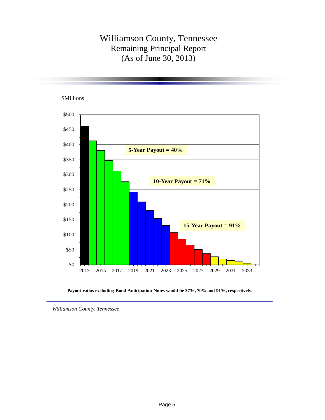### Williamson County, Tennessee Remaining Principal Report (As of June 30, 2013)

\$0 \$50 \$100 \$150 \$200 \$250 \$300 \$350 \$400 \$450 \$500 2013 2015 2017 2019 2021 2023 2025 2027 2029 2031 2033 **5-Year Payout = 40% 10-Year Payout = 71% 15-Year Payout = 91%** \$Millions

**Payout ratios excluding Bond Anticipation Notes would be 37%, 70% and 91%, respectively.**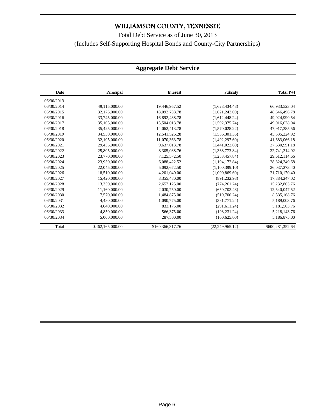Total Debt Service as of June 30, 2013 (Includes Self-Supporting Hospital Bonds and County-City Partnerships)

#### **Aggregate Debt Service**

| Date       | Principal        | Interest         | Subsidy            | Total P+I        |
|------------|------------------|------------------|--------------------|------------------|
| 06/30/2013 |                  |                  |                    |                  |
| 06/30/2014 | 49,115,000.00    | 19,446,957.52    | (1,628,434.48)     | 66,933,523.04    |
| 06/30/2015 | 32,175,000.00    | 18,092,738.78    | (1,621,242.00)     | 48,646,496.78    |
| 06/30/2016 | 33,745,000.00    | 16.892.438.78    | (1,612,448.24)     | 49.024.990.54    |
| 06/30/2017 | 35,105,000.00    | 15,504,013.78    | (1,592,375.74)     | 49,016,638.04    |
| 06/30/2018 | 35,425,000.00    | 14,062,413.78    | (1,570,028.22)     | 47,917,385.56    |
| 06/30/2019 | 34,530,000.00    | 12,541,526.28    | (1,536,301.36)     | 45,535,224.92    |
| 06/30/2020 | 32,105,000.00    | 11,070,363.78    | (1,492,297.60)     | 41,683,066.18    |
| 06/30/2021 | 29,435,000.00    | 9,637,013.78     | (1,441,022.60)     | 37,630,991.18    |
| 06/30/2022 | 25,805,000.00    | 8.305.088.76     | (1,368,773.84)     | 32,741,314.92    |
| 06/30/2023 | 23,770,000.00    | 7,125,572.50     | (1,283,457.84)     | 29,612,114.66    |
| 06/30/2024 | 23,930,000.00    | 6.088.422.52     | (1,194,172.84)     | 28,824,249.68    |
| 06/30/2025 | 22,045,000.00    | 5,092,672.50     | (1,100,399.10)     | 26,037,273.40    |
| 06/30/2026 | 18,510,000.00    | 4,201,040.00     | (1,000,869.60)     | 21,710,170.40    |
| 06/30/2027 | 15,420,000.00    | 3,355,480.00     | (891, 232.98)      | 17,884,247.02    |
| 06/30/2028 | 13.350,000.00    | 2,657,125.00     | (774, 261.24)      | 15,232,863.76    |
| 06/30/2029 | 11,160,000.00    | 2,030,750.00     | (650, 702.48)      | 12,540,047.52    |
| 06/30/2030 | 7.570,000.00     | 1,484,875.00     | (519,706.24)       | 8,535,168.76     |
| 06/30/2031 | 4,480,000.00     | 1,090,775.00     | (381,771.24)       | 5,189,003.76     |
| 06/30/2032 | 4,640,000.00     | 833,175.00       | (291, 611.24)      | 5,181,563.76     |
| 06/30/2033 | 4,850,000.00     | 566,375.00       | (198, 231, 24)     | 5,218,143.76     |
| 06/30/2034 | 5,000,000,00     | 287,500.00       | (100.625.00)       | 5,186,875.00     |
| Total      | \$462,165,000.00 | \$160,366,317.76 | (22, 249, 965, 12) | \$600,281,352.64 |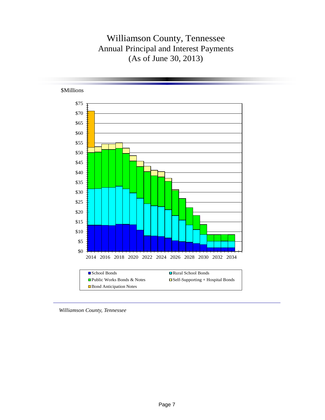## Williamson County, Tennessee Annual Principal and Interest Payments (As of June 30, 2013)



*Williamson County, Tennessee*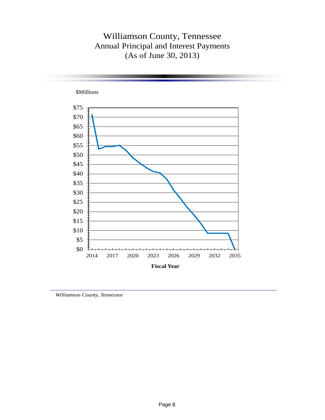### Williamson County, Tennessee Annual Principal and Interest Payments (As of June 30, 2013)



*Williamson County, Tennessee*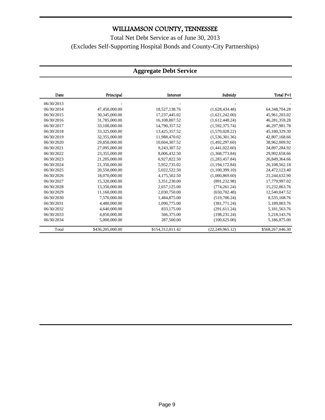Total Net Debt Service as of June 30, 2013 (Excludes Self-Supporting Hospital Bonds and County-City Partnerships)

#### **Aggregate Debt Service**

| Date       | Principal        | Interest         | Subsidy           | Total P+I        |
|------------|------------------|------------------|-------------------|------------------|
| 06/30/2013 |                  |                  |                   |                  |
| 06/30/2014 | 47,450,000.00    | 18,527,138.76    | (1,628,434,48)    | 64,348,704.28    |
| 06/30/2015 | 30,345,000.00    | 17,237,445.02    | (1,621,242.00)    | 45,961,203.02    |
| 06/30/2016 | 31,785,000.00    | 16,108,807.52    | (1,612,448.24)    | 46,281,359.28    |
| 06/30/2017 | 33,100,000.00    | 14,790,357.52    | (1,592,375.74)    | 46,297,981.78    |
| 06/30/2018 | 33,325,000.00    | 13.425.357.52    | (1,570,028.22)    | 45,180,329.30    |
| 06/30/2019 | 32,355,000.00    | 11,988,470.02    | (1,536,301.36)    | 42,807,168.66    |
| 06/30/2020 | 29,850,000.00    | 10,604,307.52    | (1,492,297.60)    | 38,962,009.92    |
| 06/30/2021 | 27,095,000.00    | 9,243,307.52     | (1,441,022.60)    | 34,897,284.92    |
| 06/30/2022 | 23,355,000.00    | 8,006,432.50     | (1,368,773.84)    | 29,992,658.66    |
| 06/30/2023 | 21,205,000.00    | 6,927,822.50     | (1,283,457.84)    | 26,849,364.66    |
| 06/30/2024 | 21,350,000.00    | 5,952,735.02     | (1, 194, 172.84)  | 26,108,562.18    |
| 06/30/2025 | 20,550,000.00    | 5,022,522.50     | (1,100,399.10)    | 24,472,123.40    |
| 06/30/2026 | 18,070,000.00    | 4,175,502.50     | (1,000,869.60)    | 21,244,632.90    |
| 06/30/2027 | 15,320,000.00    | 3,351,230.00     | (891, 232.98)     | 17,779,997.02    |
| 06/30/2028 | 13,350,000.00    | 2,657,125.00     | (774, 261.24)     | 15,232,863.76    |
| 06/30/2029 | 11,160,000.00    | 2,030,750.00     | (650, 702.48)     | 12,540,047.52    |
| 06/30/2030 | 7,570,000.00     | 1,484,875.00     | (519,706.24)      | 8,535,168.76     |
| 06/30/2031 | 4,480,000.00     | 1,090,775.00     | (381,771.24)      | 5,189,003.76     |
| 06/30/2032 | 4,640,000.00     | 833,175.00       | (291, 611.24)     | 5,181,563.76     |
| 06/30/2033 | 4,850,000,00     | 566,375.00       | (198, 231, 24)    | 5,218,143.76     |
| 06/30/2034 | 5,000,000.00     | 287,500.00       | (100, 625.00)     | 5,186,875.00     |
| Total      | \$436,205,000.00 | \$154,312,011.42 | (22, 249, 965.12) | \$568,267,046.30 |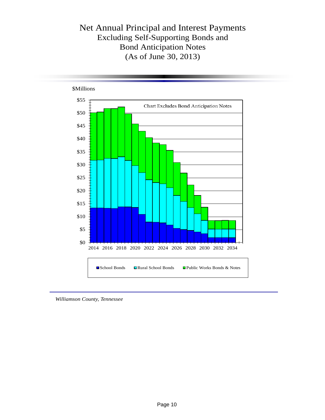## Net Annual Principal and Interest Payments Excluding Self-Supporting Bonds and Bond Anticipation Notes (As of June 30, 2013)



*Williamson County, Tennessee*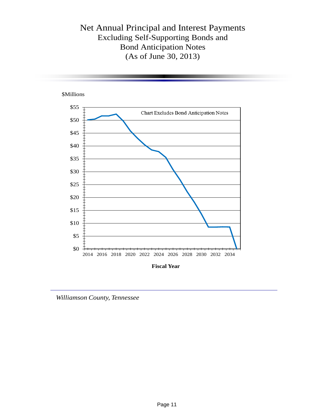Net Annual Principal and Interest Payments Excluding Self-Supporting Bonds and Bond Anticipation Notes (As of June 30, 2013)



*Williamson County, Tennessee*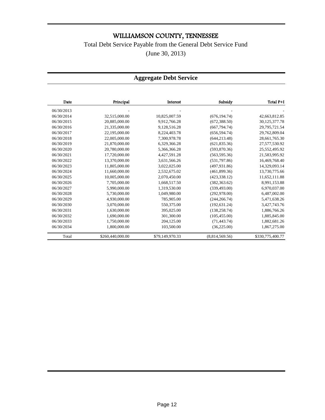#### Total Debt Service Payable from the General Debt Service Fund

(June 30, 2013)

#### **Aggregate Debt Service**

| Date       | Principal        | Interest        | Subsidy        | Total P+I        |
|------------|------------------|-----------------|----------------|------------------|
| 06/30/2013 |                  |                 |                |                  |
| 06/30/2014 | 32,515,000.00    | 10,825,007.59   | (676, 194.74)  | 42,663,812.85    |
| 06/30/2015 | 20,885,000.00    | 9,912,766.28    | (672, 388.50)  | 30,125,377.78    |
| 06/30/2016 | 21,335,000.00    | 9,128,516.28    | (667, 794, 74) | 29,795,721.54    |
| 06/30/2017 | 22,195,000.00    | 8,224,403.78    | (656, 594, 74) | 29,762,809.04    |
| 06/30/2018 | 22,005,000.00    | 7,300,978.78    | (644, 213.48)  | 28,661,765.30    |
| 06/30/2019 | 21,870,000.00    | 6,329,366.28    | (621, 835.36)  | 27,577,530.92    |
| 06/30/2020 | 20,780,000.00    | 5,366,366.28    | (593,870.36)   | 25,552,495.92    |
| 06/30/2021 | 17,720,000.00    | 4,427,591.28    | (563, 595, 36) | 21,583,995.92    |
| 06/30/2022 | 13,370,000.00    | 3,631,566.26    | (531,797.86)   | 16,469,768.40    |
| 06/30/2023 | 11,805,000.00    | 3,022,025.00    | (497, 931, 86) | 14,329,093.14    |
| 06/30/2024 | 11,660,000.00    | 2,532,675.02    | (461,899.36)   | 13,730,775.66    |
| 06/30/2025 | 10.005.000.00    | 2.070.450.00    | (423.338.12)   | 11,652,111.88    |
| 06/30/2026 | 7.705.000.00     | 1,668,517.50    | (382, 363.62)  | 8,991,153.88     |
| 06/30/2027 | 5,990,000.00     | 1,319,530.00    | (339, 493.00)  | 6,970,037.00     |
| 06/30/2028 | 5,730,000.00     | 1,049,980.00    | (292, 978.00)  | 6,487,002.00     |
| 06/30/2029 | 4,930,000.00     | 785,905.00      | (244, 266, 74) | 5,471,638.26     |
| 06/30/2030 | 3,070,000.00     | 550,375.00      | (192, 631.24)  | 3,427,743.76     |
| 06/30/2031 | 1,630,000.00     | 395,025.00      | (138, 258.74)  | 1,886,766.26     |
| 06/30/2032 | 1,690,000.00     | 301,300.00      | (105, 455.00)  | 1,885,845.00     |
| 06/30/2033 | 1,750,000.00     | 204,125.00      | (71, 443.74)   | 1,882,681.26     |
| 06/30/2034 | 1,800,000.00     | 103,500.00      | (36, 225.00)   | 1,867,275.00     |
| Total      | \$260,440,000.00 | \$79,149,970.33 | (8,814,569.56) | \$330,775,400.77 |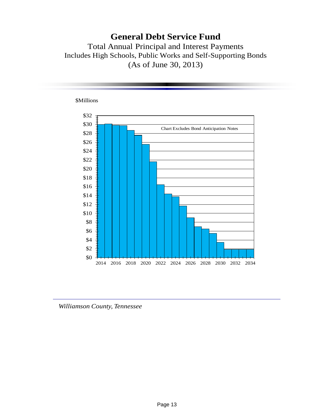## **General Debt Service Fund**

Total Annual Principal and Interest Payments Includes High Schools, Public Works and Self-Supporting Bonds (As of June 30, 2013)

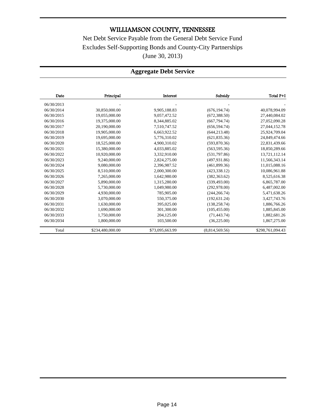Net Debt Service Payable from the General Debt Service Fund Excludes Self-Supporting Bonds and County-City Partnerships (June 30, 2013)

#### **Aggregate Debt Service**

| Date       | Principal        | Interest        | Subsidy        | Total P+I        |
|------------|------------------|-----------------|----------------|------------------|
| 06/30/2013 |                  |                 |                |                  |
| 06/30/2014 | 30,850,000.00    | 9,905,188.83    | (676, 194.74)  | 40,078,994.09    |
| 06/30/2015 | 19,055,000.00    | 9,057,472.52    | (672, 388.50)  | 27,440,084.02    |
| 06/30/2016 | 19,375,000.00    | 8,344,885.02    | (667, 794.74)  | 27,052,090.28    |
| 06/30/2017 | 20,190,000.00    | 7,510,747.52    | (656, 594.74)  | 27,044,152.78    |
| 06/30/2018 | 19,905,000.00    | 6,663,922.52    | (644, 213.48)  | 25,924,709.04    |
| 06/30/2019 | 19,695,000.00    | 5,776,310.02    | (621, 835.36)  | 24,849,474.66    |
| 06/30/2020 | 18,525,000.00    | 4,900,310.02    | (593,870.36)   | 22,831,439.66    |
| 06/30/2021 | 15,380,000.00    | 4,033,885.02    | (563, 595.36)  | 18,850,289.66    |
| 06/30/2022 | 10,920,000.00    | 3,332,910.00    | (531,797.86)   | 13,721,112.14    |
| 06/30/2023 | 9,240,000.00     | 2,824,275.00    | (497, 931.86)  | 11,566,343.14    |
| 06/30/2024 | 9,080,000.00     | 2,396,987.52    | (461,899.36)   | 11,015,088.16    |
| 06/30/2025 | 8,510,000.00     | 2,000,300.00    | (423, 338.12)  | 10,086,961.88    |
| 06/30/2026 | 7,265,000.00     | 1,642,980.00    | (382, 363.62)  | 8,525,616.38     |
| 06/30/2027 | 5,890,000.00     | 1,315,280.00    | (339, 493.00)  | 6,865,787.00     |
| 06/30/2028 | 5,730,000.00     | 1,049,980.00    | (292, 978.00)  | 6,487,002.00     |
| 06/30/2029 | 4,930,000.00     | 785,905.00      | (244, 266, 74) | 5,471,638.26     |
| 06/30/2030 | 3,070,000.00     | 550,375.00      | (192, 631.24)  | 3,427,743.76     |
| 06/30/2031 | 1,630,000.00     | 395,025.00      | (138, 258, 74) | 1,886,766.26     |
| 06/30/2032 | 1,690,000.00     | 301,300.00      | (105, 455.00)  | 1,885,845.00     |
| 06/30/2033 | 1,750,000.00     | 204,125.00      | (71, 443.74)   | 1,882,681.26     |
| 06/30/2034 | 1,800,000.00     | 103,500.00      | (36, 225.00)   | 1,867,275.00     |
| Total      | \$234,480,000.00 | \$73,095,663.99 | (8,814,569.56) | \$298,761,094.43 |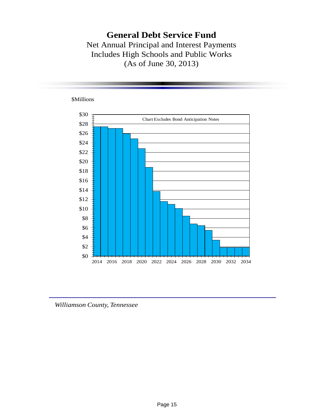### **General Debt Service Fund** Net Annual Principal and Interest Payments Includes High Schools and Public Works (As of June 30, 2013)

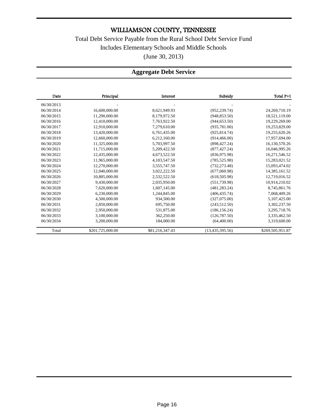Total Debt Service Payable from the Rural School Debt Service Fund Includes Elementary Schools and Middle Schools (June 30, 2013)

#### **Aggregate Debt Service**

| Date       | Principal        | Interest        | Subsidy           | Total P+I        |
|------------|------------------|-----------------|-------------------|------------------|
| 06/30/2013 |                  |                 |                   |                  |
| 06/30/2014 | 16,600,000.00    | 8,621,949.93    | (952, 239.74)     | 24, 269, 710.19  |
| 06/30/2015 | 11,290,000.00    | 8,179,972.50    | (948, 853.50)     | 18,521,119.00    |
| 06/30/2016 | 12,410,000.00    | 7,763,922.50    | (944, 653.50)     | 19,229,269.00    |
| 06/30/2017 | 12.910.000.00    | 7.279.610.00    | (935, 781.00)     | 19,253,829.00    |
| 06/30/2018 | 13,420,000.00    | 6,761,435.00    | (925, 814.74)     | 19,255,620.26    |
| 06/30/2019 | 12,660,000.00    | 6,212,160.00    | (914, 466.00)     | 17,957,694.00    |
| 06/30/2020 | 11,325,000.00    | 5,703,997.50    | (898, 427.24)     | 16,130,570.26    |
| 06/30/2021 | 11,715,000.00    | 5,209,422.50    | (877, 427, 24)    | 16,046,995.26    |
| 06/30/2022 | 12,435,000.00    | 4,673,522.50    | (836,975.98)      | 16,271,546.52    |
| 06/30/2023 | 11,965,000.00    | 4,103,547.50    | (785, 525.98)     | 15,283,021.52    |
| 06/30/2024 | 12,270,000.00    | 3,555,747.50    | (732, 273.48)     | 15,093,474.02    |
| 06/30/2025 | 12,040,000.00    | 3,022,222.50    | (677,060.98)      | 14,385,161.52    |
| 06/30/2026 | 10,805,000.00    | 2,532,522.50    | (618, 505.98)     | 12,719,016.52    |
| 06/30/2027 | 9,430,000.00     | 2,035,950.00    | (551, 739.98)     | 10,914,210.02    |
| 06/30/2028 | 7,620,000.00     | 1,607,145.00    | (481, 283.24)     | 8,745,861.76     |
| 06/30/2029 | 6,230,000.00     | 1,244,845.00    | (406, 435, 74)    | 7,068,409.26     |
| 06/30/2030 | 4,500,000.00     | 934,500.00      | (327,075.00)      | 5,107,425.00     |
| 06/30/2031 | 2,850,000.00     | 695,750.00      | (243, 512, 50)    | 3,302,237.50     |
| 06/30/2032 | 2.950.000.00     | 531,875.00      | (186, 156.24)     | 3,295,718.76     |
| 06/30/2033 | 3,100,000.00     | 362,250.00      | (126, 787.50)     | 3,335,462.50     |
| 06/30/2034 | 3,200,000.00     | 184,000.00      | (64,400.00)       | 3,319,600.00     |
| Total      | \$201,725,000.00 | \$81,216,347.43 | (13, 435, 395.56) | \$269,505,951.87 |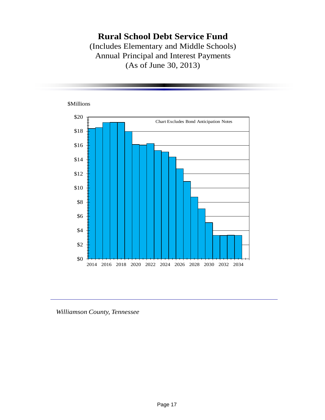**Rural School Debt Service Fund** (Includes Elementary and Middle Schools) Annual Principal and Interest Payments (As of June 30, 2013)

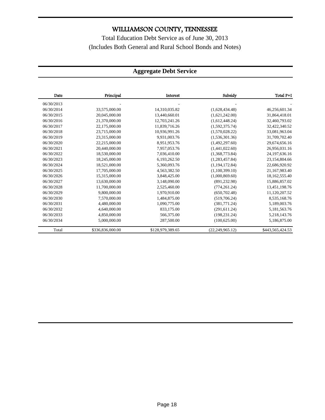Total Education Debt Service as of June 30, 2013 (Includes Both General and Rural School Bonds and Notes)

#### **Aggregate Debt Service**

| Date       | Principal        | Interest         | Subsidy            | Total P+I        |
|------------|------------------|------------------|--------------------|------------------|
| 06/30/2013 |                  |                  |                    |                  |
| 06/30/2014 | 33,575,000.00    | 14.310.035.82    | (1,628,434,48)     | 46,256,601.34    |
| 06/30/2015 | 20,045,000.00    | 13,440,660.01    | (1,621,242.00)     | 31,864,418.01    |
| 06/30/2016 | 21.370.000.00    | 12,703,241.26    | (1,612,448.24)     | 32,460,793.02    |
| 06/30/2017 | 22,175,000.00    | 11,839,716.26    | (1,592,375.74)     | 32,422,340.52    |
| 06/30/2018 | 23,715,000.00    | 10,936,991.26    | (1,570,028.22)     | 33,081,963.04    |
| 06/30/2019 | 23,315,000.00    | 9,931,003.76     | (1,536,301.36)     | 31,709,702.40    |
| 06/30/2020 | 22.215.000.00    | 8.951.953.76     | (1,492,297.60)     | 29,674,656.16    |
| 06/30/2021 | 20,440,000.00    | 7,957,053.76     | (1,441,022.60)     | 26,956,031.16    |
| 06/30/2022 | 18,530,000.00    | 7,036,410.00     | (1,368,773.84)     | 24, 197, 636. 16 |
| 06/30/2023 | 18,245,000.00    | 6,193,262.50     | (1,283,457.84)     | 23,154,804.66    |
| 06/30/2024 | 18,521,000.00    | 5,360,093.76     | (1, 194, 172.84)   | 22,686,920.92    |
| 06/30/2025 | 17,705,000.00    | 4,563,382.50     | (1,100,399.10)     | 21,167,983.40    |
| 06/30/2026 | 15,315,000.00    | 3,848,425.00     | (1,000,869.60)     | 18,162,555.40    |
| 06/30/2027 | 13.630.000.00    | 3.148.090.00     | (891, 232.98)      | 15,886,857.02    |
| 06/30/2028 | 11,700,000.00    | 2,525,460.00     | (774, 261.24)      | 13,451,198.76    |
| 06/30/2029 | 9,800,000.00     | 1,970,910.00     | (650, 702.48)      | 11,120,207.52    |
| 06/30/2030 | 7.570,000.00     | 1,484,875.00     | (519,706.24)       | 8,535,168.76     |
| 06/30/2031 | 4,480,000.00     | 1,090,775.00     | (381,771.24)       | 5,189,003.76     |
| 06/30/2032 | 4,640,000.00     | 833,175.00       | (291, 611.24)      | 5,181,563.76     |
| 06/30/2033 | 4,850,000.00     | 566,375.00       | (198, 231.24)      | 5,218,143.76     |
| 06/30/2034 | 5,000,000.00     | 287,500.00       | (100, 625.00)      | 5,186,875.00     |
| Total      | \$336,836,000.00 | \$128,979,389.65 | (22, 249, 965, 12) | \$443,565,424.53 |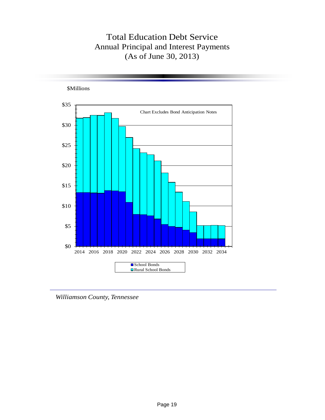## Total Education Debt Service Annual Principal and Interest Payments (As of June 30, 2013)



*Williamson County, Tennessee*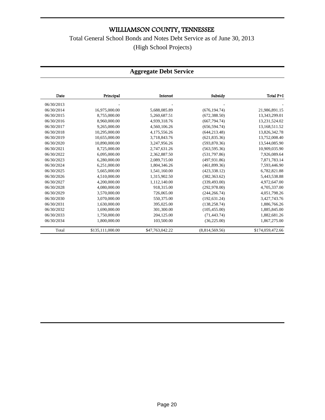Total General School Bonds and Notes Debt Service as of June 30, 2013 (High School Projects)

#### **Aggregate Debt Service**

| Date       | Principal        | Interest        | Subsidy        | Total P+I        |
|------------|------------------|-----------------|----------------|------------------|
| 06/30/2013 |                  |                 |                |                  |
| 06/30/2014 | 16,975,000.00    | 5,688,085.89    | (676, 194, 74) | 21,986,891.15    |
| 06/30/2015 | 8,755,000.00     | 5,260,687.51    | (672, 388.50)  | 13,343,299.01    |
| 06/30/2016 | 8.960.000.00     | 4,939,318.76    | (667, 794, 74) | 13,231,524.02    |
| 06/30/2017 | 9,265,000.00     | 4,560,106.26    | (656, 594, 74) | 13,168,511.52    |
| 06/30/2018 | 10.295.000.00    | 4,175,556.26    | (644, 213.48)  | 13,826,342.78    |
| 06/30/2019 | 10,655,000.00    | 3,718,843.76    | (621, 835.36)  | 13,752,008.40    |
| 06/30/2020 | 10,890,000.00    | 3,247,956.26    | (593, 870.36)  | 13,544,085.90    |
| 06/30/2021 | 8,725,000.00     | 2,747,631.26    | (563, 595, 36) | 10,909,035.90    |
| 06/30/2022 | 6,095,000.00     | 2,362,887.50    | (531,797.86)   | 7,926,089.64     |
| 06/30/2023 | 6,280,000.00     | 2,089,715.00    | (497.931.86)   | 7,871,783.14     |
| 06/30/2024 | 6.251.000.00     | 1,804,346.26    | (461.899.36)   | 7,593,446.90     |
| 06/30/2025 | 5,665,000.00     | 1,541,160.00    | (423, 338, 12) | 6,782,821.88     |
| 06/30/2026 | 4,510,000.00     | 1,315,902.50    | (382, 363.62)  | 5,443,538.88     |
| 06/30/2027 | 4,200,000.00     | 1,112,140.00    | (339, 493.00)  | 4,972,647.00     |
| 06/30/2028 | 4,080,000.00     | 918,315.00      | (292, 978.00)  | 4,705,337.00     |
| 06/30/2029 | 3,570,000.00     | 726,065.00      | (244, 266, 74) | 4,051,798.26     |
| 06/30/2030 | 3.070.000.00     | 550,375.00      | (192, 631.24)  | 3,427,743.76     |
| 06/30/2031 | 1.630.000.00     | 395,025.00      | (138, 258, 74) | 1,886,766.26     |
| 06/30/2032 | 1.690.000.00     | 301.300.00      | (105, 455.00)  | 1,885,845.00     |
| 06/30/2033 | 1,750,000.00     | 204,125.00      | (71, 443.74)   | 1,882,681.26     |
| 06/30/2034 | 1,800,000.00     | 103,500.00      | (36, 225.00)   | 1,867,275.00     |
| Total      | \$135,111,000.00 | \$47,763,042.22 | (8,814,569.56) | \$174,059,472.66 |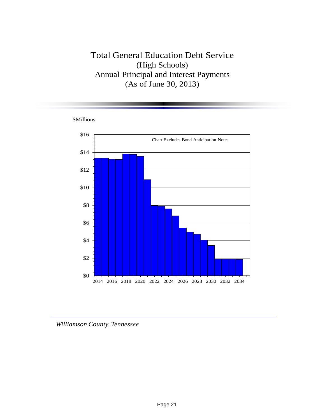### Total General Education Debt Service (High Schools) Annual Principal and Interest Payments (As of June 30, 2013)





*Williamson County, Tennessee*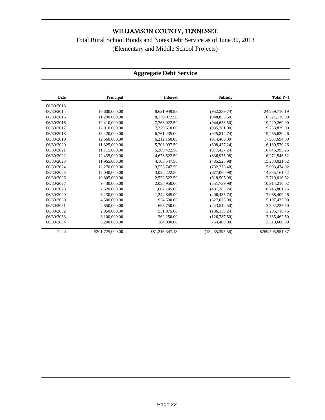### Total Rural School Bonds and Notes Debt Service as of June 30, 2013 (Elementary and Middle School Projects)

#### **Aggregate Debt Service**

| Date       | Principal        | Interest        | Subsidy           | Total P+I        |
|------------|------------------|-----------------|-------------------|------------------|
| 06/30/2013 |                  |                 |                   |                  |
| 06/30/2014 | 16,600,000.00    | 8,621,949.93    | (952, 239.74)     | 24, 269, 710.19  |
| 06/30/2015 | 11,290,000.00    | 8,179,972.50    | (948, 853.50)     | 18,521,119.00    |
| 06/30/2016 | 12,410,000.00    | 7,763,922.50    | (944, 653.50)     | 19,229,269.00    |
| 06/30/2017 | 12,910,000.00    | 7,279,610.00    | (935, 781.00)     | 19,253,829.00    |
| 06/30/2018 | 13,420,000.00    | 6,761,435.00    | (925, 814.74)     | 19,255,620.26    |
| 06/30/2019 | 12,660,000.00    | 6,212,160.00    | (914, 466.00)     | 17,957,694.00    |
| 06/30/2020 | 11,325,000.00    | 5.703.997.50    | (898, 427.24)     | 16,130,570.26    |
| 06/30/2021 | 11,715,000.00    | 5,209,422.50    | (877, 427, 24)    | 16,046,995.26    |
| 06/30/2022 | 12,435,000.00    | 4,673,522.50    | (836,975.98)      | 16,271,546.52    |
| 06/30/2023 | 11,965,000.00    | 4,103,547.50    | (785, 525.98)     | 15,283,021.52    |
| 06/30/2024 | 12,270,000.00    | 3,555,747.50    | (732, 273.48)     | 15,093,474.02    |
| 06/30/2025 | 12,040,000.00    | 3,022,222.50    | (677,060.98)      | 14,385,161.52    |
| 06/30/2026 | 10,805,000.00    | 2,532,522.50    | (618, 505.98)     | 12,719,016.52    |
| 06/30/2027 | 9,430,000.00     | 2,035,950.00    | (551, 739.98)     | 10,914,210.02    |
| 06/30/2028 | 7,620,000.00     | 1,607,145.00    | (481, 283.24)     | 8,745,861.76     |
| 06/30/2029 | 6,230,000.00     | 1,244,845.00    | (406, 435.74)     | 7,068,409.26     |
| 06/30/2030 | 4,500,000.00     | 934,500.00      | (327,075.00)      | 5,107,425.00     |
| 06/30/2031 | 2,850,000.00     | 695,750.00      | (243, 512.50)     | 3,302,237.50     |
| 06/30/2032 | 2,950,000.00     | 531,875.00      | (186, 156.24)     | 3,295,718.76     |
| 06/30/2033 | 3,100,000.00     | 362,250.00      | (126, 787.50)     | 3,335,462.50     |
| 06/30/2034 | 3,200,000.00     | 184,000.00      | (64,400.00)       | 3,319,600.00     |
| Total      | \$201,725,000.00 | \$81,216,347.43 | (13, 435, 395.56) | \$269,505,951.87 |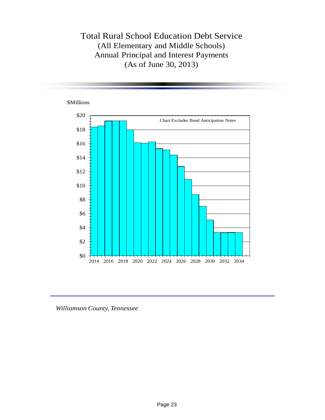### Total Rural School Education Debt Service (All Elementary and Middle Schools) Annual Principal and Interest Payments (As of June 30, 2013)

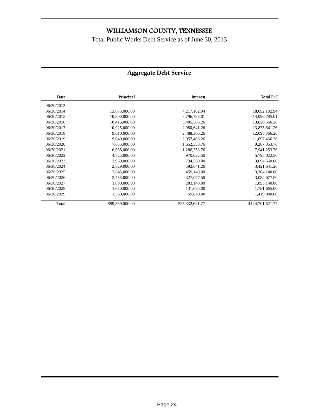Total Public Works Debt Service as of June 30, 2013

#### **Aggregate Debt Service**

| Date       | Principal       | Interest        | Total P+I        |
|------------|-----------------|-----------------|------------------|
| 06/30/2013 |                 |                 |                  |
| 06/30/2014 | 13,875,000.00   | 4,217,102.94    | 18,092,102.94    |
| 06/30/2015 | 10,300,000.00   | 3,796,785.01    | 14,096,785.01    |
| 06/30/2016 | 10,415,000.00   | 3,405,566.26    | 13,820,566.26    |
| 06/30/2017 | 10,925,000.00   | 2,950,641.26    | 13,875,641.26    |
| 06/30/2018 | 9,610,000.00    | 2,488,366.26    | 12,098,366.26    |
| 06/30/2019 | 9,040,000.00    | 2,057,466.26    | 11,097,466.26    |
| 06/30/2020 | 7,635,000.00    | 1,652,353.76    | 9,287,353.76     |
| 06/30/2021 | 6,655,000.00    | 1,286,253.76    | 7,941,253.76     |
| 06/30/2022 | 4,825,000.00    | 970,022.50      | 5,795,022.50     |
| 06/30/2023 | 2,960,000.00    | 734,560.00      | 3,694,560.00     |
| 06/30/2024 | 2,829,000.00    | 592,641.26      | 3,421,641.26     |
| 06/30/2025 | 2,845,000.00    | 459,140.00      | 3,304,140.00     |
| 06/30/2026 | 2,755,000.00    | 327,077.50      | 3,082,077.50     |
| 06/30/2027 | 1,690,000.00    | 203,140.00      | 1,893,140.00     |
| 06/30/2028 | 1,650,000.00    | 131,665.00      | 1,781,665.00     |
| 06/30/2029 | 1,360,000.00    | 59,840.00       | 1,419,840.00     |
| Total      | \$99,369,000.00 | \$25,332,621.77 | \$124,701,621.77 |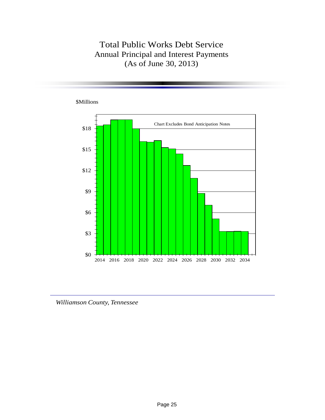### Total Public Works Debt Service Annual Principal and Interest Payments (As of June 30, 2013)

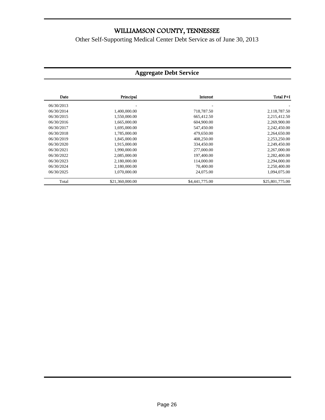Other Self-Supporting Medical Center Debt Service as of June 30, 2013

#### **Aggregate Debt Service**

| Date       | Principal       | Interest       | Total P+I       |
|------------|-----------------|----------------|-----------------|
| 06/30/2013 |                 |                |                 |
| 06/30/2014 | 1,400,000.00    | 718,787.50     | 2,118,787.50    |
| 06/30/2015 | 1,550,000.00    | 665,412.50     | 2,215,412.50    |
| 06/30/2016 | 1,665,000.00    | 604,900.00     | 2,269,900.00    |
| 06/30/2017 | 1,695,000.00    | 547,450.00     | 2,242,450.00    |
| 06/30/2018 | 1,785,000.00    | 479,650.00     | 2,264,650.00    |
| 06/30/2019 | 1,845,000.00    | 408,250.00     | 2,253,250.00    |
| 06/30/2020 | 1.915.000.00    | 334,450.00     | 2,249,450.00    |
| 06/30/2021 | 1,990,000.00    | 277,000.00     | 2,267,000.00    |
| 06/30/2022 | 2,085,000.00    | 197,400.00     | 2,282,400.00    |
| 06/30/2023 | 2,180,000.00    | 114,000.00     | 2,294,000.00    |
| 06/30/2024 | 2,180,000.00    | 70,400.00      | 2,250,400.00    |
| 06/30/2025 | 1.070.000.00    | 24,075.00      | 1.094.075.00    |
| Total      | \$21,360,000.00 | \$4,441,775.00 | \$25,801,775.00 |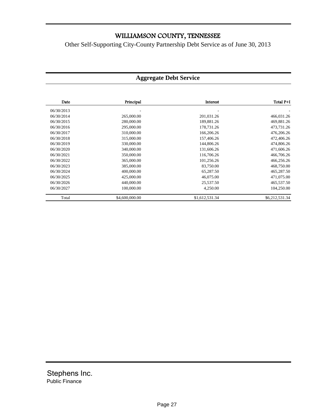Other Self-Supporting City-County Partnership Debt Service as of June 30, 2013

#### **Aggregate Debt Service**

| Date       | Principal      | Interest       | Total P+I      |
|------------|----------------|----------------|----------------|
| 06/30/2013 |                |                |                |
| 06/30/2014 | 265,000.00     | 201,031.26     | 466,031.26     |
| 06/30/2015 | 280,000.00     | 189,881.26     | 469,881.26     |
| 06/30/2016 | 295,000.00     | 178,731.26     | 473,731.26     |
| 06/30/2017 | 310,000.00     | 166,206.26     | 476,206.26     |
| 06/30/2018 | 315,000.00     | 157,406.26     | 472,406.26     |
| 06/30/2019 | 330,000.00     | 144,806.26     | 474,806.26     |
| 06/30/2020 | 340,000.00     | 131,606.26     | 471,606.26     |
| 06/30/2021 | 350,000.00     | 116,706.26     | 466,706.26     |
| 06/30/2022 | 365,000.00     | 101,256.26     | 466,256.26     |
| 06/30/2023 | 385,000.00     | 83,750.00      | 468,750.00     |
| 06/30/2024 | 400,000.00     | 65,287.50      | 465,287.50     |
| 06/30/2025 | 425,000.00     | 46,075.00      | 471,075.00     |
| 06/30/2026 | 440,000.00     | 25,537.50      | 465,537.50     |
| 06/30/2027 | 100,000.00     | 4,250.00       | 104,250.00     |
| Total      | \$4,600,000.00 | \$1,612,531.34 | \$6,212,531.34 |

Stephens Inc. Public Finance